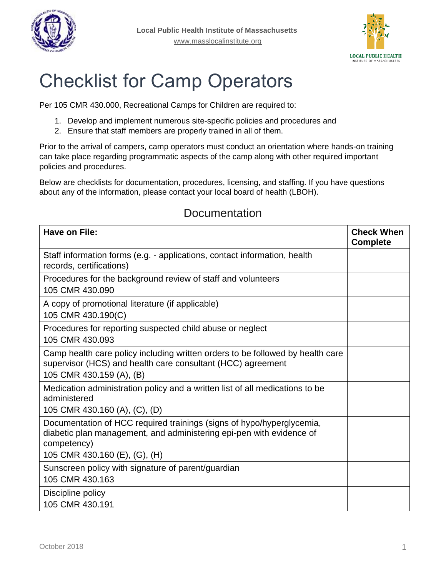



# Checklist for Camp Operators

Per 105 CMR 430.000, Recreational Camps for Children are required to:

- 1. Develop and implement numerous site-specific policies and procedures and
- 2. Ensure that staff members are properly trained in all of them.

Prior to the arrival of campers, camp operators must conduct an orientation where hands-on training can take place regarding programmatic aspects of the camp along with other required important policies and procedures.

Below are checklists for documentation, procedures, licensing, and staffing. If you have questions about any of the information, please contact your local board of health (LBOH).

| Have on File:                                                                                                                                                             | <b>Check When</b><br><b>Complete</b> |
|---------------------------------------------------------------------------------------------------------------------------------------------------------------------------|--------------------------------------|
| Staff information forms (e.g. - applications, contact information, health<br>records, certifications)                                                                     |                                      |
| Procedures for the background review of staff and volunteers<br>105 CMR 430,090                                                                                           |                                      |
| A copy of promotional literature (if applicable)<br>105 CMR 430.190(C)                                                                                                    |                                      |
| Procedures for reporting suspected child abuse or neglect<br>105 CMR 430.093                                                                                              |                                      |
| Camp health care policy including written orders to be followed by health care<br>supervisor (HCS) and health care consultant (HCC) agreement<br>105 CMR 430.159 (A), (B) |                                      |
| Medication administration policy and a written list of all medications to be<br>administered<br>105 CMR 430.160 (A), (C), (D)                                             |                                      |
| Documentation of HCC required trainings (signs of hypo/hyperglycemia,<br>diabetic plan management, and administering epi-pen with evidence of<br>competency)              |                                      |
| 105 CMR 430.160 (E), (G), (H)                                                                                                                                             |                                      |
| Sunscreen policy with signature of parent/guardian<br>105 CMR 430.163                                                                                                     |                                      |
| Discipline policy<br>105 CMR 430.191                                                                                                                                      |                                      |

#### **Documentation**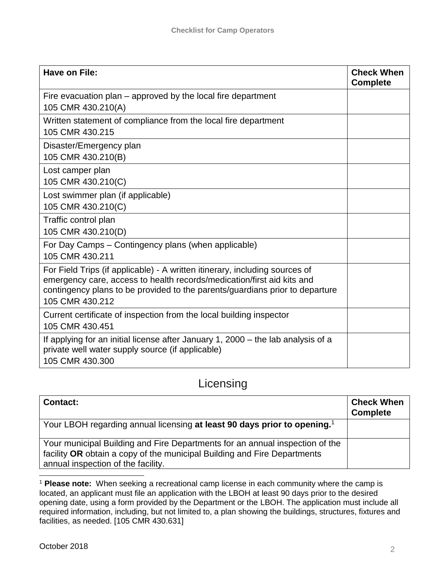| Have on File:                                                                                                                                                                                                                                            | <b>Check When</b><br><b>Complete</b> |
|----------------------------------------------------------------------------------------------------------------------------------------------------------------------------------------------------------------------------------------------------------|--------------------------------------|
| Fire evacuation plan – approved by the local fire department<br>105 CMR 430.210(A)                                                                                                                                                                       |                                      |
| Written statement of compliance from the local fire department<br>105 CMR 430.215                                                                                                                                                                        |                                      |
| Disaster/Emergency plan<br>105 CMR 430.210(B)                                                                                                                                                                                                            |                                      |
| Lost camper plan<br>105 CMR 430.210(C)                                                                                                                                                                                                                   |                                      |
| Lost swimmer plan (if applicable)<br>105 CMR 430.210(C)                                                                                                                                                                                                  |                                      |
| Traffic control plan<br>105 CMR 430.210(D)                                                                                                                                                                                                               |                                      |
| For Day Camps - Contingency plans (when applicable)<br>105 CMR 430.211                                                                                                                                                                                   |                                      |
| For Field Trips (if applicable) - A written itinerary, including sources of<br>emergency care, access to health records/medication/first aid kits and<br>contingency plans to be provided to the parents/guardians prior to departure<br>105 CMR 430.212 |                                      |
| Current certificate of inspection from the local building inspector<br>105 CMR 430.451                                                                                                                                                                   |                                      |
| If applying for an initial license after January 1, 2000 – the lab analysis of a<br>private well water supply source (if applicable)<br>105 CMR 430.300                                                                                                  |                                      |

#### Licensing

| <b>Contact:</b>                                                                                                                                                                                | <b>Check When</b><br><b>Complete</b> |
|------------------------------------------------------------------------------------------------------------------------------------------------------------------------------------------------|--------------------------------------|
| Your LBOH regarding annual licensing at least 90 days prior to opening. <sup>1</sup>                                                                                                           |                                      |
| Your municipal Building and Fire Departments for an annual inspection of the<br>facility OR obtain a copy of the municipal Building and Fire Departments<br>annual inspection of the facility. |                                      |

 $\overline{a}$ <sup>1</sup> Please note: When seeking a recreational camp license in each community where the camp is located, an applicant must file an application with the LBOH at least 90 days prior to the desired opening date, using a form provided by the Department or the LBOH. The application must include all required information, including, but not limited to, a plan showing the buildings, structures, fixtures and facilities, as needed. [105 CMR 430.631]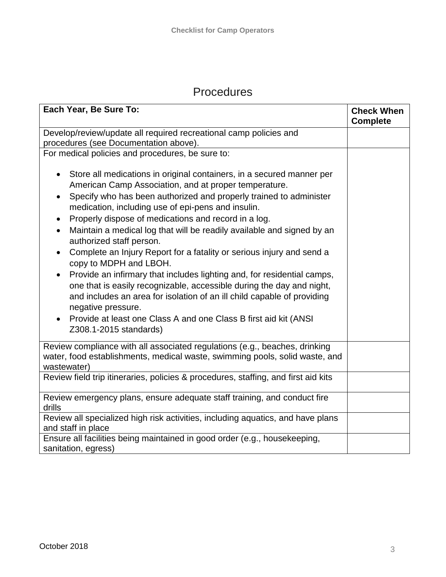### Procedures

| Each Year, Be Sure To:                                                                                                                                                                                                                                                                                                                                                                                                                                                                                                                                                                                                                                                                                                                                                                                                                                                                       | <b>Check When</b><br><b>Complete</b> |
|----------------------------------------------------------------------------------------------------------------------------------------------------------------------------------------------------------------------------------------------------------------------------------------------------------------------------------------------------------------------------------------------------------------------------------------------------------------------------------------------------------------------------------------------------------------------------------------------------------------------------------------------------------------------------------------------------------------------------------------------------------------------------------------------------------------------------------------------------------------------------------------------|--------------------------------------|
| Develop/review/update all required recreational camp policies and<br>procedures (see Documentation above).                                                                                                                                                                                                                                                                                                                                                                                                                                                                                                                                                                                                                                                                                                                                                                                   |                                      |
| For medical policies and procedures, be sure to:                                                                                                                                                                                                                                                                                                                                                                                                                                                                                                                                                                                                                                                                                                                                                                                                                                             |                                      |
| Store all medications in original containers, in a secured manner per<br>American Camp Association, and at proper temperature.<br>Specify who has been authorized and properly trained to administer<br>medication, including use of epi-pens and insulin.<br>Properly dispose of medications and record in a log.<br>Maintain a medical log that will be readily available and signed by an<br>$\bullet$<br>authorized staff person.<br>Complete an Injury Report for a fatality or serious injury and send a<br>copy to MDPH and LBOH.<br>Provide an infirmary that includes lighting and, for residential camps,<br>one that is easily recognizable, accessible during the day and night,<br>and includes an area for isolation of an ill child capable of providing<br>negative pressure.<br>Provide at least one Class A and one Class B first aid kit (ANSI)<br>Z308.1-2015 standards) |                                      |
| Review compliance with all associated regulations (e.g., beaches, drinking<br>water, food establishments, medical waste, swimming pools, solid waste, and<br>wastewater)                                                                                                                                                                                                                                                                                                                                                                                                                                                                                                                                                                                                                                                                                                                     |                                      |
| Review field trip itineraries, policies & procedures, staffing, and first aid kits                                                                                                                                                                                                                                                                                                                                                                                                                                                                                                                                                                                                                                                                                                                                                                                                           |                                      |
| Review emergency plans, ensure adequate staff training, and conduct fire<br>drills                                                                                                                                                                                                                                                                                                                                                                                                                                                                                                                                                                                                                                                                                                                                                                                                           |                                      |
| Review all specialized high risk activities, including aquatics, and have plans<br>and staff in place                                                                                                                                                                                                                                                                                                                                                                                                                                                                                                                                                                                                                                                                                                                                                                                        |                                      |
| Ensure all facilities being maintained in good order (e.g., housekeeping,<br>sanitation, egress)                                                                                                                                                                                                                                                                                                                                                                                                                                                                                                                                                                                                                                                                                                                                                                                             |                                      |